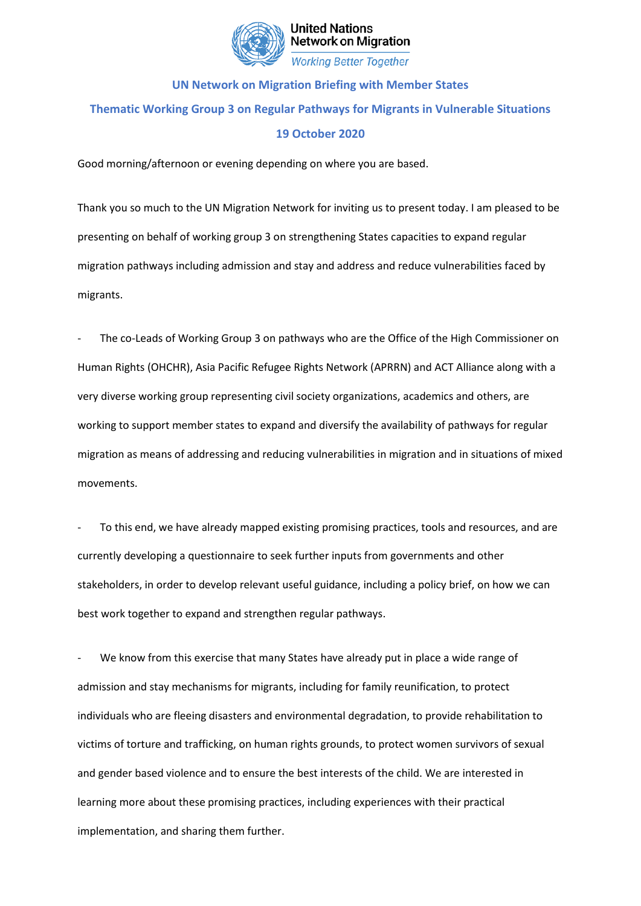

**United Nations Network on Migration** 

## **Working Better Together**

## **UN Network on Migration Briefing with Member States Thematic Working Group 3 on Regular Pathways for Migrants in Vulnerable Situations 19 October 2020**

Good morning/afternoon or evening depending on where you are based.

Thank you so much to the UN Migration Network for inviting us to present today. I am pleased to be presenting on behalf of working group 3 on strengthening States capacities to expand regular migration pathways including admission and stay and address and reduce vulnerabilities faced by migrants.

The co-Leads of Working Group 3 on pathways who are the Office of the High Commissioner on Human Rights (OHCHR), Asia Pacific Refugee Rights Network (APRRN) and ACT Alliance along with a very diverse working group representing civil society organizations, academics and others, are working to support member states to expand and diversify the availability of pathways for regular migration as means of addressing and reducing vulnerabilities in migration and in situations of mixed movements.

To this end, we have already mapped existing promising practices, tools and resources, and are currently developing a questionnaire to seek further inputs from governments and other stakeholders, in order to develop relevant useful guidance, including a policy brief, on how we can best work together to expand and strengthen regular pathways.

We know from this exercise that many States have already put in place a wide range of admission and stay mechanisms for migrants, including for family reunification, to protect individuals who are fleeing disasters and environmental degradation, to provide rehabilitation to victims of torture and trafficking, on human rights grounds, to protect women survivors of sexual and gender based violence and to ensure the best interests of the child. We are interested in learning more about these promising practices, including experiences with their practical implementation, and sharing them further.